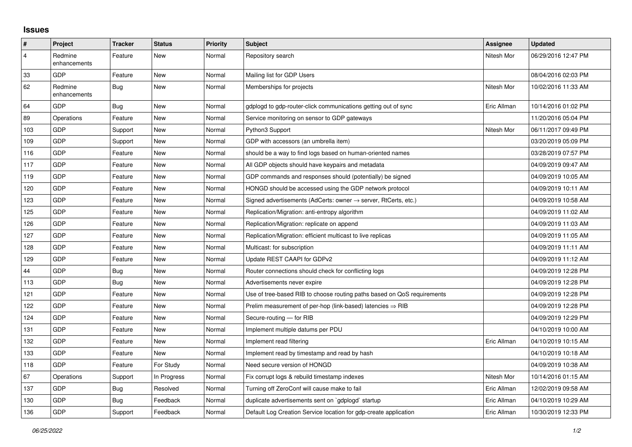## **Issues**

| $\sharp$                | <b>Project</b>          | <b>Tracker</b> | <b>Status</b> | <b>Priority</b> | <b>Subject</b>                                                             | Assignee    | <b>Updated</b>      |
|-------------------------|-------------------------|----------------|---------------|-----------------|----------------------------------------------------------------------------|-------------|---------------------|
| $\overline{\mathbf{4}}$ | Redmine<br>enhancements | Feature        | <b>New</b>    | Normal          | Repository search                                                          | Nitesh Mor  | 06/29/2016 12:47 PM |
| 33                      | <b>GDP</b>              | Feature        | <b>New</b>    | Normal          | Mailing list for GDP Users                                                 |             | 08/04/2016 02:03 PM |
| 62                      | Redmine<br>enhancements | Bug            | <b>New</b>    | Normal          | Memberships for projects                                                   | Nitesh Mor  | 10/02/2016 11:33 AM |
| 64                      | <b>GDP</b>              | Bug            | <b>New</b>    | Normal          | gdplogd to gdp-router-click communications getting out of sync             | Eric Allman | 10/14/2016 01:02 PM |
| 89                      | Operations              | Feature        | <b>New</b>    | Normal          | Service monitoring on sensor to GDP gateways                               |             | 11/20/2016 05:04 PM |
| 103                     | <b>GDP</b>              | Support        | <b>New</b>    | Normal          | Python3 Support                                                            | Nitesh Mor  | 06/11/2017 09:49 PM |
| 109                     | <b>GDP</b>              | Support        | <b>New</b>    | Normal          | GDP with accessors (an umbrella item)                                      |             | 03/20/2019 05:09 PM |
| 116                     | <b>GDP</b>              | Feature        | <b>New</b>    | Normal          | should be a way to find logs based on human-oriented names                 |             | 03/28/2019 07:57 PM |
| 117                     | GDP                     | Feature        | <b>New</b>    | Normal          | All GDP objects should have keypairs and metadata                          |             | 04/09/2019 09:47 AM |
| 119                     | <b>GDP</b>              | Feature        | <b>New</b>    | Normal          | GDP commands and responses should (potentially) be signed                  |             | 04/09/2019 10:05 AM |
| 120                     | <b>GDP</b>              | Feature        | New           | Normal          | HONGD should be accessed using the GDP network protocol                    |             | 04/09/2019 10:11 AM |
| 123                     | GDP                     | Feature        | <b>New</b>    | Normal          | Signed advertisements (AdCerts: owner $\rightarrow$ server, RtCerts, etc.) |             | 04/09/2019 10:58 AM |
| 125                     | <b>GDP</b>              | Feature        | <b>New</b>    | Normal          | Replication/Migration: anti-entropy algorithm                              |             | 04/09/2019 11:02 AM |
| 126                     | <b>GDP</b>              | Feature        | New           | Normal          | Replication/Migration: replicate on append                                 |             | 04/09/2019 11:03 AM |
| 127                     | GDP                     | Feature        | <b>New</b>    | Normal          | Replication/Migration: efficient multicast to live replicas                |             | 04/09/2019 11:05 AM |
| 128                     | <b>GDP</b>              | Feature        | New           | Normal          | Multicast: for subscription                                                |             | 04/09/2019 11:11 AM |
| 129                     | <b>GDP</b>              | Feature        | <b>New</b>    | Normal          | Update REST CAAPI for GDPv2                                                |             | 04/09/2019 11:12 AM |
| 44                      | <b>GDP</b>              | Bug            | <b>New</b>    | Normal          | Router connections should check for conflicting logs                       |             | 04/09/2019 12:28 PM |
| 113                     | <b>GDP</b>              | Bug            | <b>New</b>    | Normal          | Advertisements never expire                                                |             | 04/09/2019 12:28 PM |
| 121                     | <b>GDP</b>              | Feature        | <b>New</b>    | Normal          | Use of tree-based RIB to choose routing paths based on QoS requirements    |             | 04/09/2019 12:28 PM |
| 122                     | <b>GDP</b>              | Feature        | <b>New</b>    | Normal          | Prelim measurement of per-hop (link-based) latencies $\Rightarrow$ RIB     |             | 04/09/2019 12:28 PM |
| 124                     | <b>GDP</b>              | Feature        | New           | Normal          | Secure-routing — for RIB                                                   |             | 04/09/2019 12:29 PM |
| 131                     | GDP                     | Feature        | <b>New</b>    | Normal          | Implement multiple datums per PDU                                          |             | 04/10/2019 10:00 AM |
| 132                     | <b>GDP</b>              | Feature        | <b>New</b>    | Normal          | Implement read filtering                                                   | Eric Allman | 04/10/2019 10:15 AM |
| 133                     | <b>GDP</b>              | Feature        | <b>New</b>    | Normal          | Implement read by timestamp and read by hash                               |             | 04/10/2019 10:18 AM |
| 118                     | <b>GDP</b>              | Feature        | For Study     | Normal          | Need secure version of HONGD                                               |             | 04/09/2019 10:38 AM |
| 67                      | Operations              | Support        | In Progress   | Normal          | Fix corrupt logs & rebuild timestamp indexes                               | Nitesh Mor  | 10/14/2016 01:15 AM |
| 137                     | <b>GDP</b>              | Bug            | Resolved      | Normal          | Turning off ZeroConf will cause make to fail                               | Eric Allman | 12/02/2019 09:58 AM |
| 130                     | GDP                     | Bug            | Feedback      | Normal          | duplicate advertisements sent on `gdplogd` startup                         | Eric Allman | 04/10/2019 10:29 AM |
| 136                     | GDP                     | Support        | Feedback      | Normal          | Default Log Creation Service location for gdp-create application           | Eric Allman | 10/30/2019 12:33 PM |